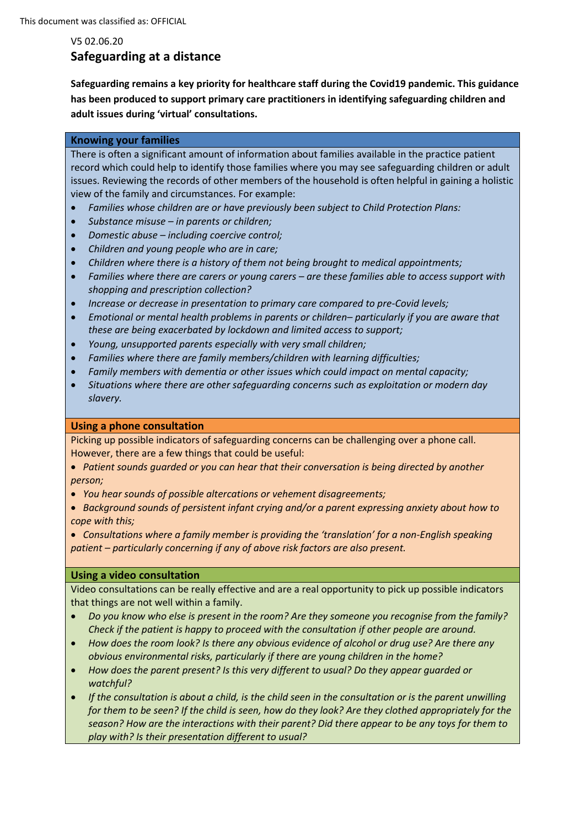# V5 02.06.20 **Safeguarding at a distance**

**Safeguarding remains a key priority for healthcare staff during the Covid19 pandemic. This guidance has been produced to support primary care practitioners in identifying safeguarding children and adult issues during 'virtual' consultations.**

## **Knowing your families**

There is often a significant amount of information about families available in the practice patient record which could help to identify those families where you may see safeguarding children or adult issues. Reviewing the records of other members of the household is often helpful in gaining a holistic view of the family and circumstances. For example:

- *Families whose children are or have previously been subject to Child Protection Plans:*
- *Substance misuse – in parents or children;*
- *Domestic abuse – including coercive control;*
- *Children and young people who are in care;*
- *Children where there is a history of them not being brought to medical appointments;*
- *Families where there are carers or young carers – are these families able to access support with shopping and prescription collection?*
- *Increase or decrease in presentation to primary care compared to pre-Covid levels;*
- *Emotional or mental health problems in parents or children– particularly if you are aware that these are being exacerbated by lockdown and limited access to support;*
- *Young, unsupported parents especially with very small children;*
- *Families where there are family members/children with learning difficulties;*
- *Family members with dementia or other issues which could impact on mental capacity;*
- *Situations where there are other safeguarding concerns such as exploitation or modern day slavery.*

### **Using a phone consultation**

Picking up possible indicators of safeguarding concerns can be challenging over a phone call. However, there are a few things that could be useful:

- *Patient sounds guarded or you can hear that their conversation is being directed by another person;*
- *You hear sounds of possible altercations or vehement disagreements;*
- *Background sounds of persistent infant crying and/or a parent expressing anxiety about how to cope with this;*

• *Consultations where a family member is providing the 'translation' for a non-English speaking patient – particularly concerning if any of above risk factors are also present.*

# **Using a video consultation**

Video consultations can be really effective and are a real opportunity to pick up possible indicators that things are not well within a family.

- *Do you know who else is present in the room? Are they someone you recognise from the family? Check if the patient is happy to proceed with the consultation if other people are around.*
- *How does the room look? Is there any obvious evidence of alcohol or drug use? Are there any obvious environmental risks, particularly if there are young children in the home?*
- *How does the parent present? Is this very different to usual? Do they appear guarded or watchful?*
- *If the consultation is about a child, is the child seen in the consultation or is the parent unwilling for them to be seen? If the child is seen, how do they look? Are they clothed appropriately for the season? How are the interactions with their parent? Did there appear to be any toys for them to play with? Is their presentation different to usual?*